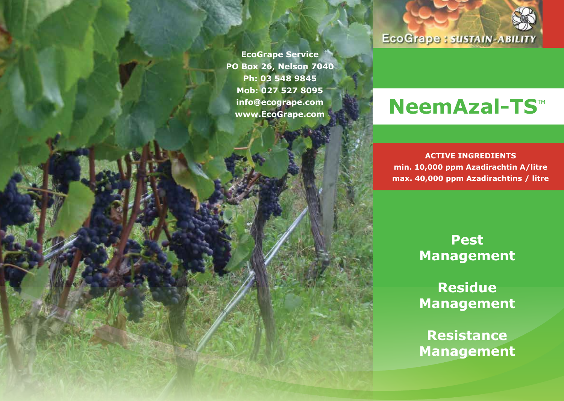**EcoGrape Service PO Box 26, Nelson 7040 Ph: 03 548 9845 Mob: 027 527 8095 info@ecogrape.com**

# **EcoGrape: SUSTAIN-ABILITY**

# **Info@ecogrape.com**<br>www.EcoGrape.com NeemAzal-TS™

**ACTIVE INGREDIENTS min. 10,000 ppm Azadirachtin A/litre max. 40,000 ppm Azadirachtins / litre**

> **Pest Management**

> **Residue Management**

**Resistance Management**